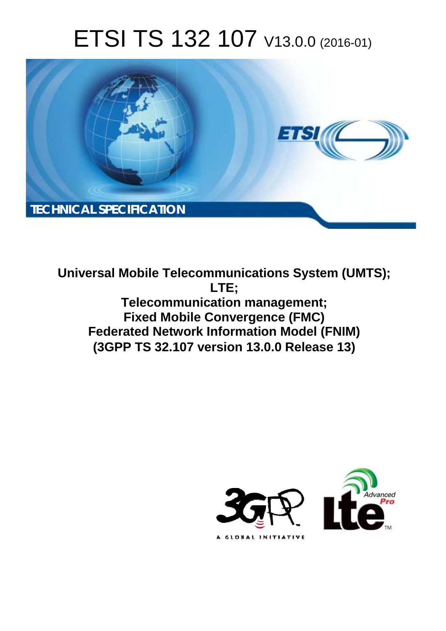# ETSI TS 132 107 V13.0.0 (2016-01)



**Universal Mobile Tel elecommunications System ( (UMTS); Telecomm munication management; Fixed Mobile Convergence (FMC) Federated Network Information Model (FNIM) (3GPP TS 32.1 .107 version 13.0.0 Release 13 13) LTE;** 

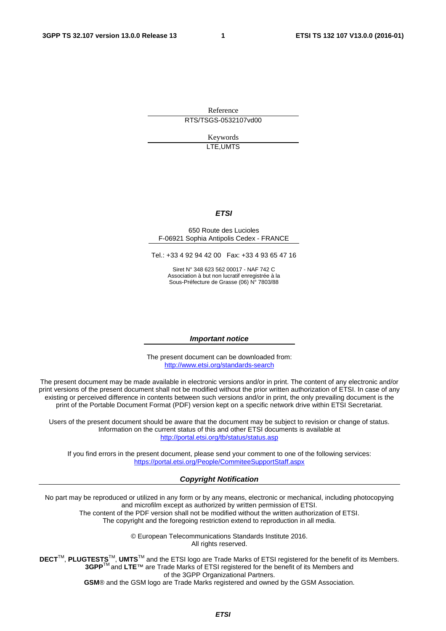Reference RTS/TSGS-0532107vd00

> Keywords LTE,UMTS

#### *ETSI*

#### 650 Route des Lucioles F-06921 Sophia Antipolis Cedex - FRANCE

Tel.: +33 4 92 94 42 00 Fax: +33 4 93 65 47 16

Siret N° 348 623 562 00017 - NAF 742 C Association à but non lucratif enregistrée à la Sous-Préfecture de Grasse (06) N° 7803/88

#### *Important notice*

The present document can be downloaded from: <http://www.etsi.org/standards-search>

The present document may be made available in electronic versions and/or in print. The content of any electronic and/or print versions of the present document shall not be modified without the prior written authorization of ETSI. In case of any existing or perceived difference in contents between such versions and/or in print, the only prevailing document is the print of the Portable Document Format (PDF) version kept on a specific network drive within ETSI Secretariat.

Users of the present document should be aware that the document may be subject to revision or change of status. Information on the current status of this and other ETSI documents is available at <http://portal.etsi.org/tb/status/status.asp>

If you find errors in the present document, please send your comment to one of the following services: <https://portal.etsi.org/People/CommiteeSupportStaff.aspx>

#### *Copyright Notification*

No part may be reproduced or utilized in any form or by any means, electronic or mechanical, including photocopying and microfilm except as authorized by written permission of ETSI.

The content of the PDF version shall not be modified without the written authorization of ETSI. The copyright and the foregoing restriction extend to reproduction in all media.

> © European Telecommunications Standards Institute 2016. All rights reserved.

**DECT**TM, **PLUGTESTS**TM, **UMTS**TM and the ETSI logo are Trade Marks of ETSI registered for the benefit of its Members. **3GPP**TM and **LTE**™ are Trade Marks of ETSI registered for the benefit of its Members and of the 3GPP Organizational Partners.

**GSM**® and the GSM logo are Trade Marks registered and owned by the GSM Association.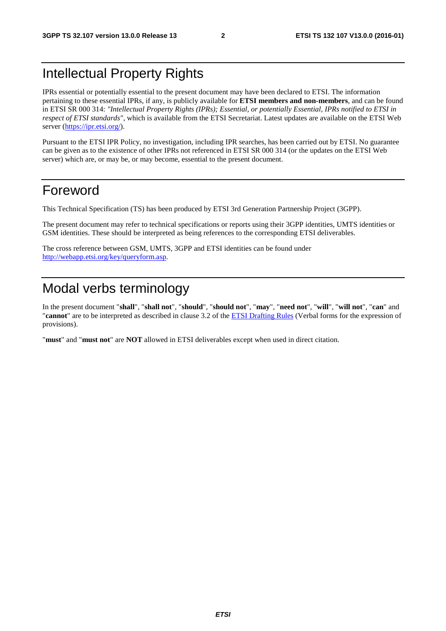### Intellectual Property Rights

IPRs essential or potentially essential to the present document may have been declared to ETSI. The information pertaining to these essential IPRs, if any, is publicly available for **ETSI members and non-members**, and can be found in ETSI SR 000 314: *"Intellectual Property Rights (IPRs); Essential, or potentially Essential, IPRs notified to ETSI in respect of ETSI standards"*, which is available from the ETSI Secretariat. Latest updates are available on the ETSI Web server [\(https://ipr.etsi.org/](https://ipr.etsi.org/)).

Pursuant to the ETSI IPR Policy, no investigation, including IPR searches, has been carried out by ETSI. No guarantee can be given as to the existence of other IPRs not referenced in ETSI SR 000 314 (or the updates on the ETSI Web server) which are, or may be, or may become, essential to the present document.

### Foreword

This Technical Specification (TS) has been produced by ETSI 3rd Generation Partnership Project (3GPP).

The present document may refer to technical specifications or reports using their 3GPP identities, UMTS identities or GSM identities. These should be interpreted as being references to the corresponding ETSI deliverables.

The cross reference between GSM, UMTS, 3GPP and ETSI identities can be found under [http://webapp.etsi.org/key/queryform.asp.](http://webapp.etsi.org/key/queryform.asp)

### Modal verbs terminology

In the present document "**shall**", "**shall not**", "**should**", "**should not**", "**may**", "**need not**", "**will**", "**will not**", "**can**" and "**cannot**" are to be interpreted as described in clause 3.2 of the [ETSI Drafting Rules](http://portal.etsi.org/Help/editHelp!/Howtostart/ETSIDraftingRules.aspx) (Verbal forms for the expression of provisions).

"**must**" and "**must not**" are **NOT** allowed in ETSI deliverables except when used in direct citation.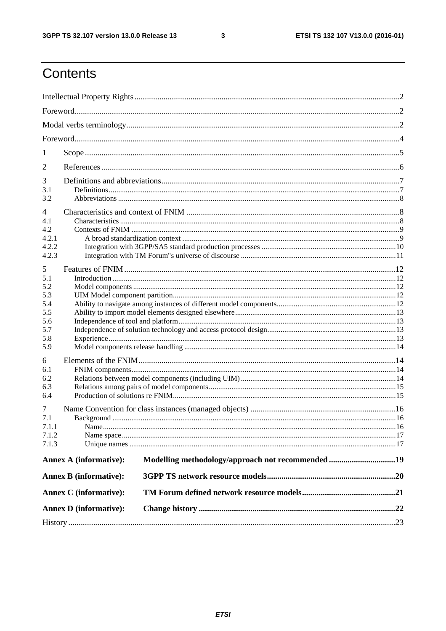$\mathbf{3}$ 

# Contents

| 1          |                               |                                                   |  |  |  |  |  |
|------------|-------------------------------|---------------------------------------------------|--|--|--|--|--|
| 2          |                               |                                                   |  |  |  |  |  |
|            |                               |                                                   |  |  |  |  |  |
| 3          |                               |                                                   |  |  |  |  |  |
| 3.1<br>3.2 |                               |                                                   |  |  |  |  |  |
|            |                               |                                                   |  |  |  |  |  |
| 4          |                               |                                                   |  |  |  |  |  |
| 4.1<br>4.2 |                               |                                                   |  |  |  |  |  |
| 4.2.1      |                               |                                                   |  |  |  |  |  |
| 4.2.2      |                               |                                                   |  |  |  |  |  |
| 4.2.3      |                               |                                                   |  |  |  |  |  |
|            |                               |                                                   |  |  |  |  |  |
| 5          |                               |                                                   |  |  |  |  |  |
| 5.1        |                               |                                                   |  |  |  |  |  |
| 5.2        |                               |                                                   |  |  |  |  |  |
| 5.3        |                               |                                                   |  |  |  |  |  |
| 5.4        |                               |                                                   |  |  |  |  |  |
| 5.5        |                               |                                                   |  |  |  |  |  |
| 5.6<br>5.7 |                               |                                                   |  |  |  |  |  |
| 5.8        |                               |                                                   |  |  |  |  |  |
| 5.9        |                               |                                                   |  |  |  |  |  |
| 6          |                               |                                                   |  |  |  |  |  |
| 6.1        |                               |                                                   |  |  |  |  |  |
| 6.2        |                               |                                                   |  |  |  |  |  |
| 6.3        |                               |                                                   |  |  |  |  |  |
| 6.4        |                               |                                                   |  |  |  |  |  |
|            |                               |                                                   |  |  |  |  |  |
| 7<br>7.1   |                               |                                                   |  |  |  |  |  |
| 7.1.1      |                               |                                                   |  |  |  |  |  |
| 7.1.2      |                               |                                                   |  |  |  |  |  |
| 7.1.3      |                               |                                                   |  |  |  |  |  |
|            |                               |                                                   |  |  |  |  |  |
|            | <b>Annex A (informative):</b> | Modelling methodology/approach not recommended 19 |  |  |  |  |  |
|            | <b>Annex B</b> (informative): |                                                   |  |  |  |  |  |
|            | <b>Annex C</b> (informative): |                                                   |  |  |  |  |  |
|            | <b>Annex D</b> (informative): |                                                   |  |  |  |  |  |
|            |                               |                                                   |  |  |  |  |  |
|            |                               |                                                   |  |  |  |  |  |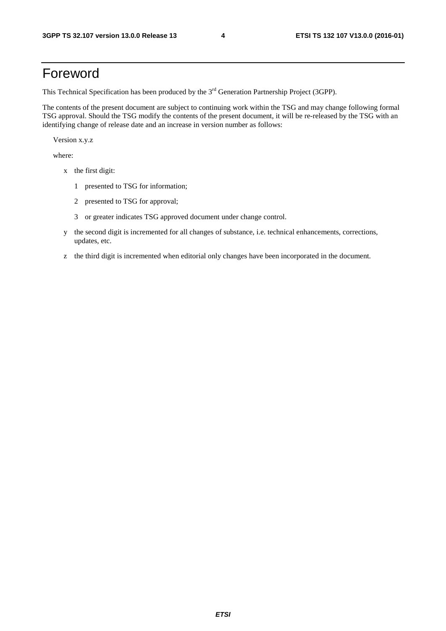### Foreword

This Technical Specification has been produced by the 3<sup>rd</sup> Generation Partnership Project (3GPP).

The contents of the present document are subject to continuing work within the TSG and may change following formal TSG approval. Should the TSG modify the contents of the present document, it will be re-released by the TSG with an identifying change of release date and an increase in version number as follows:

Version x.y.z

where:

- x the first digit:
	- 1 presented to TSG for information;
	- 2 presented to TSG for approval;
	- 3 or greater indicates TSG approved document under change control.
- y the second digit is incremented for all changes of substance, i.e. technical enhancements, corrections, updates, etc.
- z the third digit is incremented when editorial only changes have been incorporated in the document.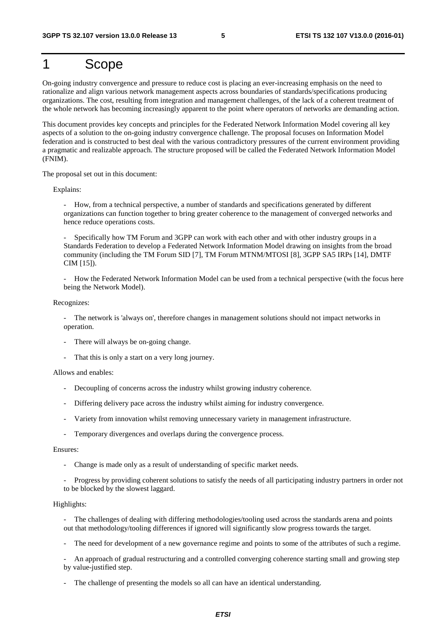### 1 Scope

On-going industry convergence and pressure to reduce cost is placing an ever-increasing emphasis on the need to rationalize and align various network management aspects across boundaries of standards/specifications producing organizations. The cost, resulting from integration and management challenges, of the lack of a coherent treatment of the whole network has becoming increasingly apparent to the point where operators of networks are demanding action.

This document provides key concepts and principles for the Federated Network Information Model covering all key aspects of a solution to the on-going industry convergence challenge. The proposal focuses on Information Model federation and is constructed to best deal with the various contradictory pressures of the current environment providing a pragmatic and realizable approach. The structure proposed will be called the Federated Network Information Model (FNIM).

The proposal set out in this document:

Explains:

- How, from a technical perspective, a number of standards and specifications generated by different organizations can function together to bring greater coherence to the management of converged networks and hence reduce operations costs.

Specifically how TM Forum and 3GPP can work with each other and with other industry groups in a Standards Federation to develop a Federated Network Information Model drawing on insights from the broad community (including the TM Forum SID [7], TM Forum MTNM/MTOSI [8], 3GPP SA5 IRPs [14], DMTF CIM [15]).

- How the Federated Network Information Model can be used from a technical perspective (with the focus here being the Network Model).

Recognizes:

- The network is 'always on', therefore changes in management solutions should not impact networks in operation.

- There will always be on-going change.
- That this is only a start on a very long journey.

Allows and enables:

- Decoupling of concerns across the industry whilst growing industry coherence.
- Differing delivery pace across the industry whilst aiming for industry convergence.
- Variety from innovation whilst removing unnecessary variety in management infrastructure.
- Temporary divergences and overlaps during the convergence process.

#### Ensures:

- Change is made only as a result of understanding of specific market needs.
- Progress by providing coherent solutions to satisfy the needs of all participating industry partners in order not to be blocked by the slowest laggard.

#### Highlights:

- The challenges of dealing with differing methodologies/tooling used across the standards arena and points out that methodology/tooling differences if ignored will significantly slow progress towards the target.

- The need for development of a new governance regime and points to some of the attributes of such a regime.

- An approach of gradual restructuring and a controlled converging coherence starting small and growing step by value-justified step.

The challenge of presenting the models so all can have an identical understanding.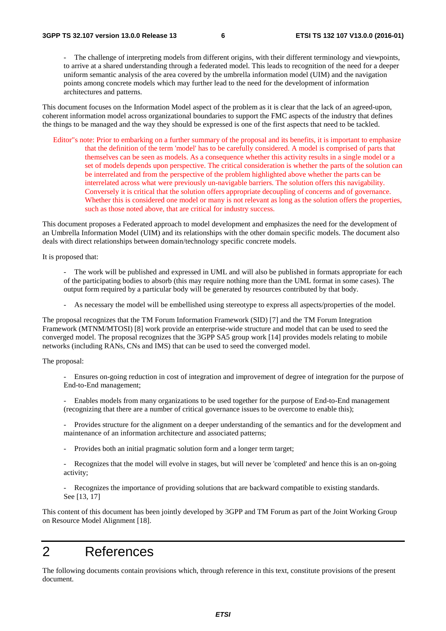The challenge of interpreting models from different origins, with their different terminology and viewpoints, to arrive at a shared understanding through a federated model. This leads to recognition of the need for a deeper uniform semantic analysis of the area covered by the umbrella information model (UIM) and the navigation points among concrete models which may further lead to the need for the development of information architectures and patterns.

This document focuses on the Information Model aspect of the problem as it is clear that the lack of an agreed-upon, coherent information model across organizational boundaries to support the FMC aspects of the industry that defines the things to be managed and the way they should be expressed is one of the first aspects that need to be tackled.

Editor"s note: Prior to embarking on a further summary of the proposal and its benefits, it is important to emphasize that the definition of the term 'model' has to be carefully considered. A model is comprised of parts that themselves can be seen as models. As a consequence whether this activity results in a single model or a set of models depends upon perspective. The critical consideration is whether the parts of the solution can be interrelated and from the perspective of the problem highlighted above whether the parts can be interrelated across what were previously un-navigable barriers. The solution offers this navigability. Conversely it is critical that the solution offers appropriate decoupling of concerns and of governance. Whether this is considered one model or many is not relevant as long as the solution offers the properties, such as those noted above, that are critical for industry success.

This document proposes a Federated approach to model development and emphasizes the need for the development of an Umbrella Information Model (UIM) and its relationships with the other domain specific models. The document also deals with direct relationships between domain/technology specific concrete models.

It is proposed that:

- The work will be published and expressed in UML and will also be published in formats appropriate for each of the participating bodies to absorb (this may require nothing more than the UML format in some cases). The output form required by a particular body will be generated by resources contributed by that body.
- As necessary the model will be embellished using stereotype to express all aspects/properties of the model.

The proposal recognizes that the TM Forum Information Framework (SID) [7] and the TM Forum Integration Framework (MTNM/MTOSI) [8] work provide an enterprise-wide structure and model that can be used to seed the converged model. The proposal recognizes that the 3GPP SA5 group work [14] provides models relating to mobile networks (including RANs, CNs and IMS) that can be used to seed the converged model.

The proposal:

- Ensures on-going reduction in cost of integration and improvement of degree of integration for the purpose of End-to-End management;
- Enables models from many organizations to be used together for the purpose of End-to-End management (recognizing that there are a number of critical governance issues to be overcome to enable this);
- Provides structure for the alignment on a deeper understanding of the semantics and for the development and maintenance of an information architecture and associated patterns;
- Provides both an initial pragmatic solution form and a longer term target;
- Recognizes that the model will evolve in stages, but will never be 'completed' and hence this is an on-going activity;
- Recognizes the importance of providing solutions that are backward compatible to existing standards. See [13, 17]

This content of this document has been jointly developed by 3GPP and TM Forum as part of the Joint Working Group on Resource Model Alignment [18].

### 2 References

The following documents contain provisions which, through reference in this text, constitute provisions of the present document.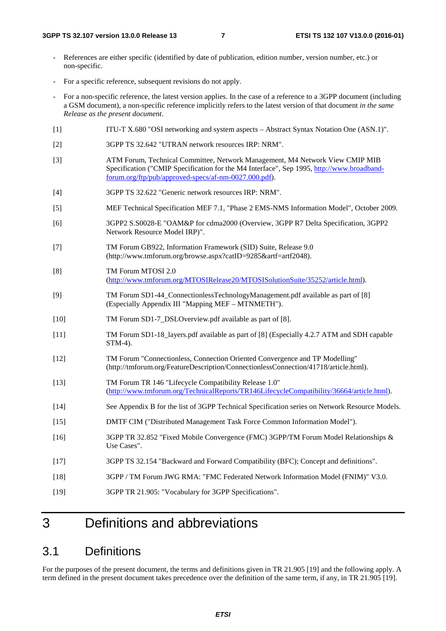- References are either specific (identified by date of publication, edition number, version number, etc.) or non-specific.
- For a specific reference, subsequent revisions do not apply.
- For a non-specific reference, the latest version applies. In the case of a reference to a 3GPP document (including a GSM document), a non-specific reference implicitly refers to the latest version of that document *in the same Release as the present document*.
- [1] ITU-T X.680 "OSI networking and system aspects Abstract Syntax Notation One (ASN.1)".
- [2] 3GPP TS 32.642 "UTRAN network resources IRP: NRM".
- [3] ATM Forum, Technical Committee, Network Management, M4 Network View CMIP MIB Specification ("CMIP Specification for the M4 Interface", Sep 1995, [http://www.broadband](http://www.broadband-forum.org/ftp/pub/approved-specs/af-nm-0027.000.pdf)[forum.org/ftp/pub/approved-specs/af-nm-0027.000.pdf\)](http://www.broadband-forum.org/ftp/pub/approved-specs/af-nm-0027.000.pdf).
- [4] 3GPP TS 32.622 "Generic network resources IRP: NRM".
- [5] MEF Technical Specification MEF 7.1, "Phase 2 EMS-NMS Information Model", October 2009.
- [6] 3GPP2 S.S0028-E "OAM&P for cdma2000 (Overview, 3GPP R7 Delta Specification, 3GPP2 Network Resource Model IRP)".
- [7] TM Forum GB922, Information Framework (SID) Suite, Release 9.0 (http://www.tmforum.org/browse.aspx?catID=9285&artf=artf2048).
- [8] TM Forum MTOSI 2.0 [\(http://www.tmforum.org/MTOSIRelease20/MTOSISolutionSuite/35252/article.html\)](http://www.tmforum.org/MTOSIRelease20/MTOSISolutionSuite/35252/article.html).
- [9] TM Forum SD1-44\_ConnectionlessTechnologyManagement.pdf available as part of [8] (Especially Appendix III "Mapping MEF – MTNMETH").
- [10] TM Forum SD1-7\_DSLOverview.pdf available as part of [8].
- [11] TM Forum SD1-18\_layers.pdf available as part of [8] (Especially 4.2.7 ATM and SDH capable STM-4).
- [12] TM Forum "Connectionless, Connection Oriented Convergence and TP Modelling" (http://tmforum.org/FeatureDescription/ConnectionlessConnection/41718/article.html).
- [13] TM Forum TR 146 "Lifecycle Compatibility Release 1.0" [\(http://www.tmforum.org/TechnicalReports/TR146LifecycleCompatibility/36664/article.html\)](http://www.tmforum.org/TechnicalReports/TR146LifecycleCompatibility/36664/article.html).
- [14] See Appendix B for the list of 3GPP Technical Specification series on Network Resource Models.
- [15] DMTF CIM ("Distributed Management Task Force Common Information Model").
- [16] 3GPP TR 32.852 "Fixed Mobile Convergence (FMC) 3GPP/TM Forum Model Relationships & Use Cases".
- [17] 3GPP TS 32.154 "Backward and Forward Compatibility (BFC); Concept and definitions".
- [18] 3GPP / TM Forum JWG RMA: "FMC Federated Network Information Model (FNIM)" V3.0.
- [19] 3GPP TR 21.905: "Vocabulary for 3GPP Specifications".

# 3 Definitions and abbreviations

### 3.1 Definitions

For the purposes of the present document, the terms and definitions given in TR 21.905 [19] and the following apply. A term defined in the present document takes precedence over the definition of the same term, if any, in TR 21.905 [19].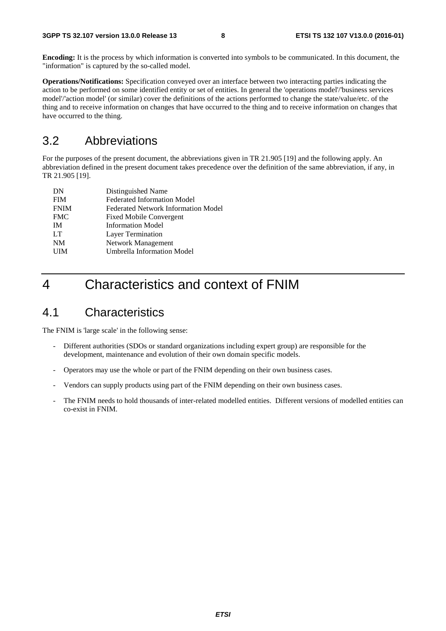**Encoding:** It is the process by which information is converted into symbols to be communicated. In this document, the "information" is captured by the so-called model.

**Operations/Notifications:** Specification conveyed over an interface between two interacting parties indicating the action to be performed on some identified entity or set of entities. In general the 'operations model'/'business services model'/'action model' (or similar) cover the definitions of the actions performed to change the state/value/etc. of the thing and to receive information on changes that have occurred to the thing and to receive information on changes that have occurred to the thing.

#### 3.2 Abbreviations

For the purposes of the present document, the abbreviations given in TR 21.905 [19] and the following apply. An abbreviation defined in the present document takes precedence over the definition of the same abbreviation, if any, in TR 21.905 [19].

| Distinguished Name                         |
|--------------------------------------------|
| <b>Federated Information Model</b>         |
| <b>Federated Network Information Model</b> |
| <b>Fixed Mobile Convergent</b>             |
| <b>Information Model</b>                   |
| Layer Termination                          |
| Network Management                         |
| <b>Umbrella Information Model</b>          |
|                                            |

### 4 Characteristics and context of FNIM

#### 4.1 Characteristics

The FNIM is 'large scale' in the following sense:

- Different authorities (SDOs or standard organizations including expert group) are responsible for the development, maintenance and evolution of their own domain specific models.
- Operators may use the whole or part of the FNIM depending on their own business cases.
- Vendors can supply products using part of the FNIM depending on their own business cases.
- The FNIM needs to hold thousands of inter-related modelled entities. Different versions of modelled entities can co-exist in FNIM.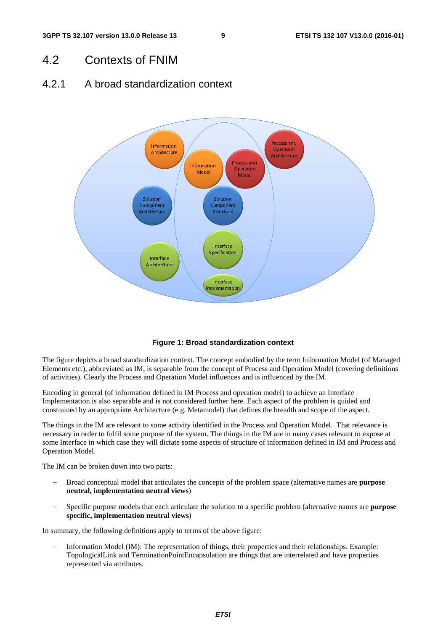#### 4.2 Contexts of FNIM

#### 4.2.1 A broad standardization context



#### **Figure 1: Broad standardization context**

The figure depicts a broad standardization context. The concept embodied by the term Information Model (of Managed Elements etc.), abbreviated as IM, is separable from the concept of Process and Operation Model (covering definitions of activities). Clearly the Process and Operation Model influences and is influenced by the IM.

Encoding in general (of information defined in IM Process and operation model) to achieve an Interface Implementation is also separable and is not considered further here. Each aspect of the problem is guided and constrained by an appropriate Architecture (e.g. Metamodel) that defines the breadth and scope of the aspect.

The things in the IM are relevant to some activity identified in the Process and Operation Model. That relevance is necessary in order to fulfil some purpose of the system. The things in the IM are in many cases relevant to expose at some Interface in which case they will dictate some aspects of structure of information defined in IM and Process and Operation Model.

The IM can be broken down into two parts:

- − Broad conceptual model that articulates the concepts of the problem space (alternative names are **purpose neutral, implementation neutral views**)
- − Specific purpose models that each articulate the solution to a specific problem (alternative names are **purpose specific, implementation neutral views**)

In summary, the following definitions apply to terms of the above figure:

− Information Model (IM): The representation of things, their properties and their relationships. Example: TopologicalLink and TerminationPointEncapsulation are things that are interrelated and have properties represented via attributes.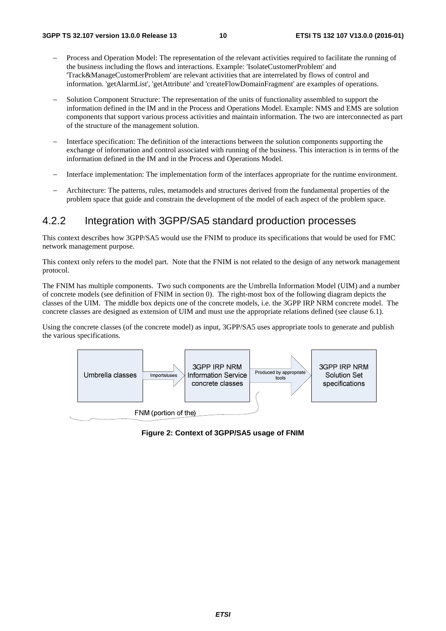- Process and Operation Model: The representation of the relevant activities required to facilitate the running of the business including the flows and interactions. Example: 'IsolateCustomerProblem' and 'Track&ManageCustomerProblem' are relevant activities that are interrelated by flows of control and information. 'getAlarmList', 'getAttribute' and 'createFlowDomainFragment' are examples of operations.
- − Solution Component Structure: The representation of the units of functionality assembled to support the information defined in the IM and in the Process and Operations Model. Example: NMS and EMS are solution components that support various process activities and maintain information. The two are interconnected as part of the structure of the management solution.
- Interface specification: The definition of the interactions between the solution components supporting the exchange of information and control associated with running of the business. This interaction is in terms of the information defined in the IM and in the Process and Operations Model.
- − Interface implementation: The implementation form of the interfaces appropriate for the runtime environment.
- − Architecture: The patterns, rules, metamodels and structures derived from the fundamental properties of the problem space that guide and constrain the development of the model of each aspect of the problem space.

#### 4.2.2 Integration with 3GPP/SA5 standard production processes

This context describes how 3GPP/SA5 would use the FNIM to produce its specifications that would be used for FMC network management purpose.

This context only refers to the model part. Note that the FNIM is not related to the design of any network management protocol.

The FNIM has multiple components. Two such components are the Umbrella Information Model (UIM) and a number of concrete models (see definition of FNIM in section 0). The right-most box of the following diagram depicts the classes of the UIM. The middle box depicts one of the concrete models, i.e. the 3GPP IRP NRM concrete model. The concrete classes are designed as extension of UIM and must use the appropriate relations defined (see clause 6.1).

Using the concrete classes (of the concrete model) as input, 3GPP/SA5 uses appropriate tools to generate and publish the various specifications.



**Figure 2: Context of 3GPP/SA5 usage of FNIM**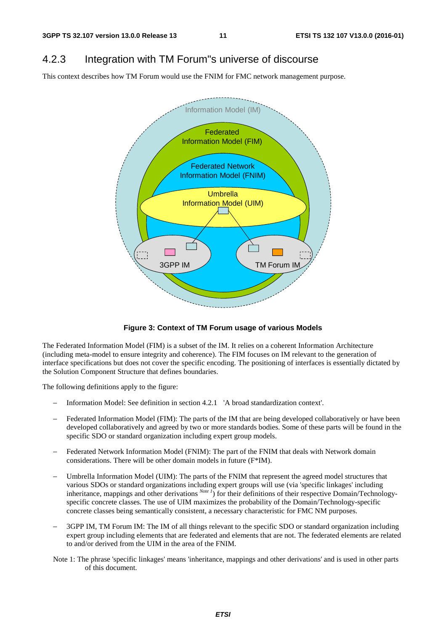### 4.2.3 Integration with TM Forum"s universe of discourse

This context describes how TM Forum would use the FNIM for FMC network management purpose.



#### **Figure 3: Context of TM Forum usage of various Models**

The Federated Information Model (FIM) is a subset of the IM. It relies on a coherent Information Architecture (including meta-model to ensure integrity and coherence). The FIM focuses on IM relevant to the generation of interface specifications but does not cover the specific encoding. The positioning of interfaces is essentially dictated by the Solution Component Structure that defines boundaries.

The following definitions apply to the figure:

- − Information Model: See definition in section 4.2.1 'A broad standardization context'.
- Federated Information Model (FIM): The parts of the IM that are being developed collaboratively or have been developed collaboratively and agreed by two or more standards bodies. Some of these parts will be found in the specific SDO or standard organization including expert group models.
- Federated Network Information Model (FNIM): The part of the FNIM that deals with Network domain considerations. There will be other domain models in future (F\*IM).
- Umbrella Information Model (UIM): The parts of the FNIM that represent the agreed model structures that various SDOs or standard organizations including expert groups will use (via 'specific linkages' including inheritance, mappings and other derivations *Note 1*) for their definitions of their respective Domain/Technologyspecific concrete classes. The use of UIM maximizes the probability of the Domain/Technology-specific concrete classes being semantically consistent, a necessary characteristic for FMC NM purposes.
- 3GPP IM, TM Forum IM: The IM of all things relevant to the specific SDO or standard organization including expert group including elements that are federated and elements that are not. The federated elements are related to and/or derived from the UIM in the area of the FNIM.
- Note 1: The phrase 'specific linkages' means 'inheritance, mappings and other derivations' and is used in other parts of this document.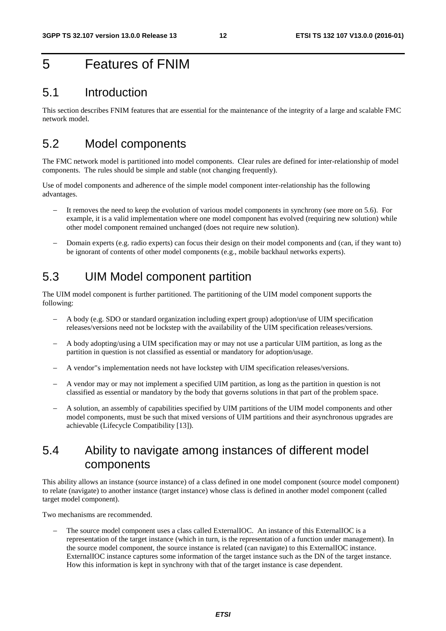### 5 Features of FNIM

#### 5.1 Introduction

This section describes FNIM features that are essential for the maintenance of the integrity of a large and scalable FMC network model.

### 5.2 Model components

The FMC network model is partitioned into model components. Clear rules are defined for inter-relationship of model components. The rules should be simple and stable (not changing frequently).

Use of model components and adherence of the simple model component inter-relationship has the following advantages.

- It removes the need to keep the evolution of various model components in synchrony (see more on 5.6). For example, it is a valid implementation where one model component has evolved (requiring new solution) while other model component remained unchanged (does not require new solution).
- − Domain experts (e.g. radio experts) can focus their design on their model components and (can, if they want to) be ignorant of contents of other model components (e.g., mobile backhaul networks experts).

### 5.3 UIM Model component partition

The UIM model component is further partitioned. The partitioning of the UIM model component supports the following:

- − A body (e.g. SDO or standard organization including expert group) adoption/use of UIM specification releases/versions need not be lockstep with the availability of the UIM specification releases/versions.
- − A body adopting/using a UIM specification may or may not use a particular UIM partition, as long as the partition in question is not classified as essential or mandatory for adoption/usage.
- − A vendor"s implementation needs not have lockstep with UIM specification releases/versions.
- A vendor may or may not implement a specified UIM partition, as long as the partition in question is not classified as essential or mandatory by the body that governs solutions in that part of the problem space.
- A solution, an assembly of capabilities specified by UIM partitions of the UIM model components and other model components, must be such that mixed versions of UIM partitions and their asynchronous upgrades are achievable (Lifecycle Compatibility [13]).

### 5.4 Ability to navigate among instances of different model components

This ability allows an instance (source instance) of a class defined in one model component (source model component) to relate (navigate) to another instance (target instance) whose class is defined in another model component (called target model component).

Two mechanisms are recommended.

The source model component uses a class called ExternalIOC. An instance of this ExternalIOC is a representation of the target instance (which in turn, is the representation of a function under management). In the source model component, the source instance is related (can navigate) to this ExternalIOC instance. ExternalIOC instance captures some information of the target instance such as the DN of the target instance. How this information is kept in synchrony with that of the target instance is case dependent.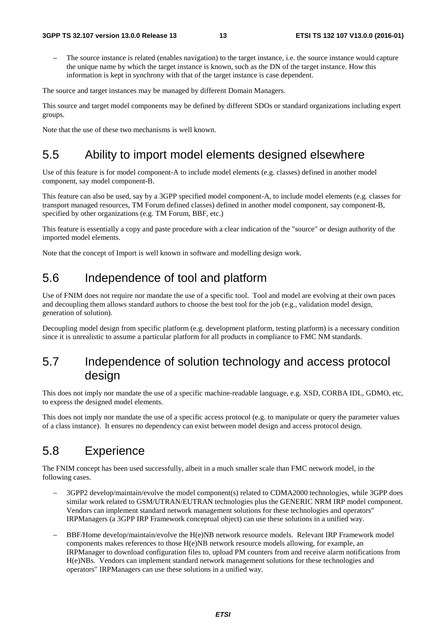The source instance is related (enables navigation) to the target instance, i.e. the source instance would capture the unique name by which the target instance is known, such as the DN of the target instance. How this information is kept in synchrony with that of the target instance is case dependent.

The source and target instances may be managed by different Domain Managers.

This source and target model components may be defined by different SDOs or standard organizations including expert groups.

Note that the use of these two mechanisms is well known.

### 5.5 Ability to import model elements designed elsewhere

Use of this feature is for model component-A to include model elements (e.g. classes) defined in another model component, say model component-B.

This feature can also be used, say by a 3GPP specified model component-A, to include model elements (e.g. classes for transport managed resources, TM Forum defined classes) defined in another model component, say component-B, specified by other organizations (e.g. TM Forum, BBF, etc.)

This feature is essentially a copy and paste procedure with a clear indication of the "source" or design authority of the imported model elements.

Note that the concept of Import is well known in software and modelling design work.

### 5.6 Independence of tool and platform

Use of FNIM does not require nor mandate the use of a specific tool. Tool and model are evolving at their own paces and decoupling them allows standard authors to choose the best tool for the job (e.g., validation model design, generation of solution).

Decoupling model design from specific platform (e.g. development platform, testing platform) is a necessary condition since it is unrealistic to assume a particular platform for all products in compliance to FMC NM standards.

### 5.7 Independence of solution technology and access protocol design

This does not imply nor mandate the use of a specific machine-readable language, e.g. XSD, CORBA IDL, GDMO, etc, to express the designed model elements.

This does not imply nor mandate the use of a specific access protocol (e.g. to manipulate or query the parameter values of a class instance). It ensures no dependency can exist between model design and access protocol design.

### 5.8 Experience

The FNIM concept has been used successfully, albeit in a much smaller scale than FMC network model, in the following cases.

- 3GPP2 develop/maintain/evolve the model component(s) related to CDMA2000 technologies, while 3GPP does similar work related to GSM/UTRAN/EUTRAN technologies plus the GENERIC NRM IRP model component. Vendors can implement standard network management solutions for these technologies and operators" IRPManagers (a 3GPP IRP Framework conceptual object) can use these solutions in a unified way.
- BBF/Home develop/maintain/evolve the H(e)NB network resource models. Relevant IRP Framework model components makes references to those  $H(e)NB$  network resource models allowing, for example, an IRPManager to download configuration files to, upload PM counters from and receive alarm notifications from H(e)NBs. Vendors can implement standard network management solutions for these technologies and operators" IRPManagers can use these solutions in a unified way.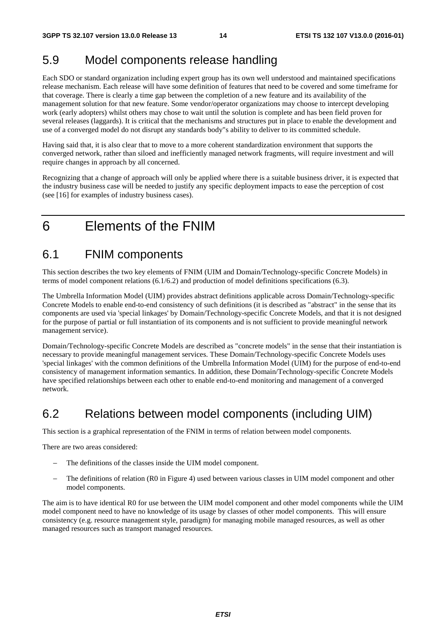### 5.9 Model components release handling

Each SDO or standard organization including expert group has its own well understood and maintained specifications release mechanism. Each release will have some definition of features that need to be covered and some timeframe for that coverage. There is clearly a time gap between the completion of a new feature and its availability of the management solution for that new feature. Some vendor/operator organizations may choose to intercept developing work (early adopters) whilst others may chose to wait until the solution is complete and has been field proven for several releases (laggards). It is critical that the mechanisms and structures put in place to enable the development and use of a converged model do not disrupt any standards body"s ability to deliver to its committed schedule.

Having said that, it is also clear that to move to a more coherent standardization environment that supports the converged network, rather than siloed and inefficiently managed network fragments, will require investment and will require changes in approach by all concerned.

Recognizing that a change of approach will only be applied where there is a suitable business driver, it is expected that the industry business case will be needed to justify any specific deployment impacts to ease the perception of cost (see [16] for examples of industry business cases).

## 6 Elements of the FNIM

### 6.1 FNIM components

This section describes the two key elements of FNIM (UIM and Domain/Technology-specific Concrete Models) in terms of model component relations (6.1/6.2) and production of model definitions specifications (6.3).

The Umbrella Information Model (UIM) provides abstract definitions applicable across Domain/Technology-specific Concrete Models to enable end-to-end consistency of such definitions (it is described as "abstract" in the sense that its components are used via 'special linkages' by Domain/Technology-specific Concrete Models, and that it is not designed for the purpose of partial or full instantiation of its components and is not sufficient to provide meaningful network management service).

Domain/Technology-specific Concrete Models are described as "concrete models" in the sense that their instantiation is necessary to provide meaningful management services. These Domain/Technology-specific Concrete Models uses 'special linkages' with the common definitions of the Umbrella Information Model (UIM) for the purpose of end-to-end consistency of management information semantics. In addition, these Domain/Technology-specific Concrete Models have specified relationships between each other to enable end-to-end monitoring and management of a converged network.

### 6.2 Relations between model components (including UIM)

This section is a graphical representation of the FNIM in terms of relation between model components.

There are two areas considered:

- The definitions of the classes inside the UIM model component.
- The definitions of relation (R0 in Figure 4) used between various classes in UIM model component and other model components.

The aim is to have identical R0 for use between the UIM model component and other model components while the UIM model component need to have no knowledge of its usage by classes of other model components. This will ensure consistency (e.g. resource management style, paradigm) for managing mobile managed resources, as well as other managed resources such as transport managed resources.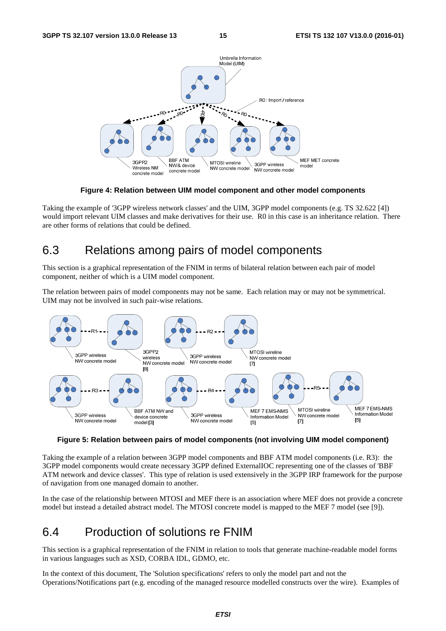

**Figure 4: Relation between UIM model component and other model components** 

Taking the example of '3GPP wireless network classes' and the UIM, 3GPP model components (e.g. TS 32.622 [4]) would import relevant UIM classes and make derivatives for their use. R0 in this case is an inheritance relation. There are other forms of relations that could be defined.

### 6.3 Relations among pairs of model components

This section is a graphical representation of the FNIM in terms of bilateral relation between each pair of model component, neither of which is a UIM model component.

The relation between pairs of model components may not be same. Each relation may or may not be symmetrical. UIM may not be involved in such pair-wise relations.



**Figure 5: Relation between pairs of model components (not involving UIM model component)** 

Taking the example of a relation between 3GPP model components and BBF ATM model components (i.e. R3): the 3GPP model components would create necessary 3GPP defined ExternalIOC representing one of the classes of 'BBF ATM network and device classes'. This type of relation is used extensively in the 3GPP IRP framework for the purpose of navigation from one managed domain to another.

In the case of the relationship between MTOSI and MEF there is an association where MEF does not provide a concrete model but instead a detailed abstract model. The MTOSI concrete model is mapped to the MEF 7 model (see [9]).

### 6.4 Production of solutions re FNIM

This section is a graphical representation of the FNIM in relation to tools that generate machine-readable model forms in various languages such as XSD, CORBA IDL, GDMO, etc.

In the context of this document, The 'Solution specifications' refers to only the model part and not the Operations/Notifications part (e.g. encoding of the managed resource modelled constructs over the wire). Examples of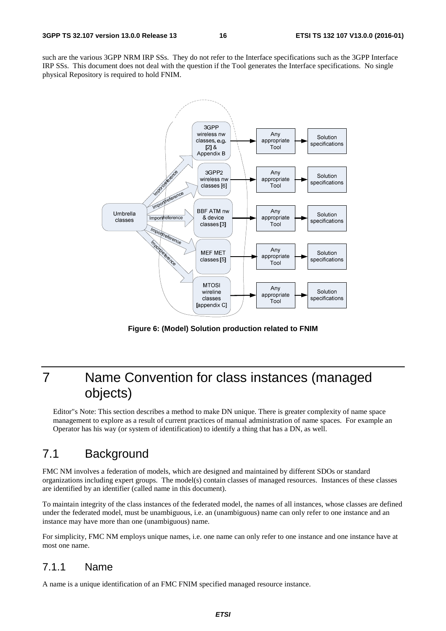such are the various 3GPP NRM IRP SSs. They do not refer to the Interface specifications such as the 3GPP Interface IRP SSs. This document does not deal with the question if the Tool generates the Interface specifications. No single physical Repository is required to hold FNIM.



**Figure 6: (Model) Solution production related to FNIM** 

# 7 Name Convention for class instances (managed objects)

Editor"s Note: This section describes a method to make DN unique. There is greater complexity of name space management to explore as a result of current practices of manual administration of name spaces. For example an Operator has his way (or system of identification) to identify a thing that has a DN, as well.

### 7.1 Background

FMC NM involves a federation of models, which are designed and maintained by different SDOs or standard organizations including expert groups. The model(s) contain classes of managed resources. Instances of these classes are identified by an identifier (called name in this document).

To maintain integrity of the class instances of the federated model, the names of all instances, whose classes are defined under the federated model, must be unambiguous, i.e. an (unambiguous) name can only refer to one instance and an instance may have more than one (unambiguous) name.

For simplicity, FMC NM employs unique names, i.e. one name can only refer to one instance and one instance have at most one name.

#### 7.1.1 Name

A name is a unique identification of an FMC FNIM specified managed resource instance.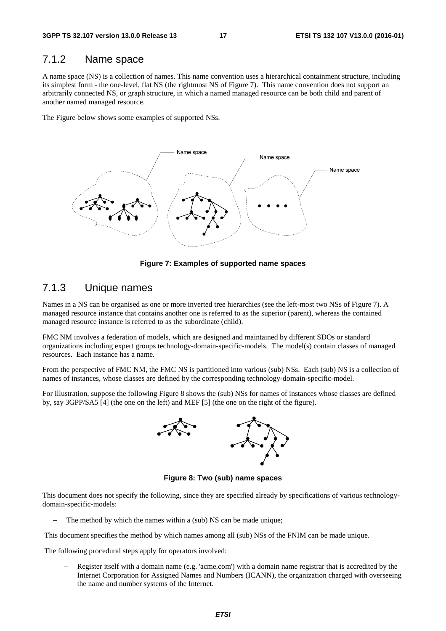#### 7.1.2 Name space

A name space (NS) is a collection of names. This name convention uses a hierarchical containment structure, including its simplest form - the one-level, flat NS (the rightmost NS of Figure 7). This name convention does not support an arbitrarily connected NS, or graph structure, in which a named managed resource can be both child and parent of another named managed resource.

The Figure below shows some examples of supported NSs.



**Figure 7: Examples of supported name spaces** 

#### 7.1.3 Unique names

Names in a NS can be organised as one or more inverted tree hierarchies (see the left-most two NSs of Figure 7). A managed resource instance that contains another one is referred to as the superior (parent), whereas the contained managed resource instance is referred to as the subordinate (child).

FMC NM involves a federation of models, which are designed and maintained by different SDOs or standard organizations including expert groups technology-domain-specific-models. The model(s) contain classes of managed resources. Each instance has a name.

From the perspective of FMC NM, the FMC NS is partitioned into various (sub) NSs. Each (sub) NS is a collection of names of instances, whose classes are defined by the corresponding technology-domain-specific-model.

For illustration, suppose the following Figure 8 shows the (sub) NSs for names of instances whose classes are defined by, say 3GPP/SA5 [4] (the one on the left) and MEF [5] (the one on the right of the figure).



**Figure 8: Two (sub) name spaces** 

This document does not specify the following, since they are specified already by specifications of various technologydomain-specific-models:

The method by which the names within a (sub) NS can be made unique;

This document specifies the method by which names among all (sub) NSs of the FNIM can be made unique.

The following procedural steps apply for operators involved:

Register itself with a domain name (e.g. 'acme.com') with a domain name registrar that is accredited by the Internet Corporation for Assigned Names and Numbers (ICANN), the organization charged with overseeing the name and number systems of the Internet.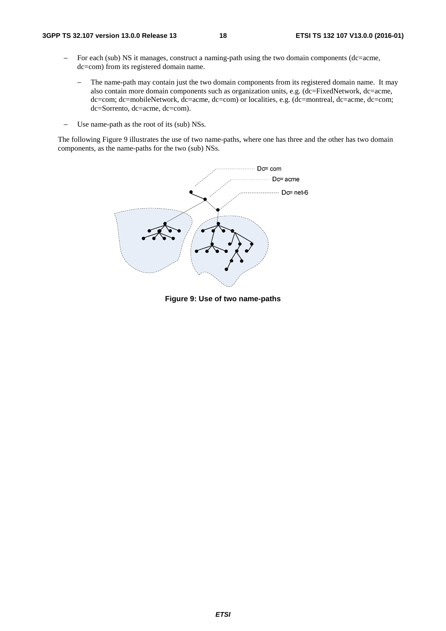- − For each (sub) NS it manages, construct a naming-path using the two domain components (dc=acme, dc=com) from its registered domain name.
	- The name-path may contain just the two domain components from its registered domain name. It may also contain more domain components such as organization units, e.g. (dc=FixedNetwork, dc=acme, dc=com; dc=mobileNetwork, dc=acme, dc=com) or localities, e.g. (dc=montreal, dc=acme, dc=com; dc=Sorrento, dc=acme, dc=com).
- Use name-path as the root of its (sub) NSs.

The following Figure 9 illustrates the use of two name-paths, where one has three and the other has two domain components, as the name-paths for the two (sub) NSs.



**Figure 9: Use of two name-paths**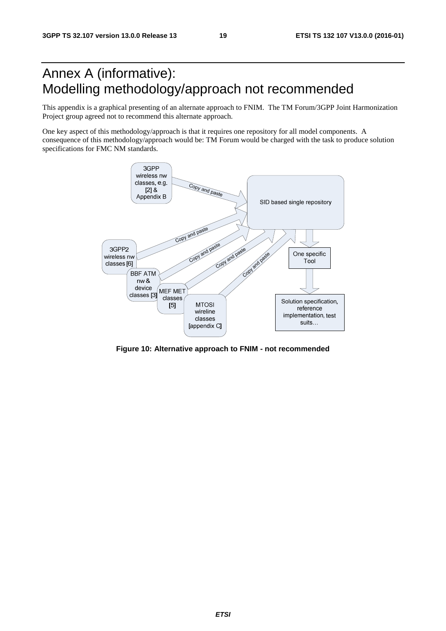# Annex A (informative): Modelling methodology/approach not recommended

This appendix is a graphical presenting of an alternate approach to FNIM. The TM Forum/3GPP Joint Harmonization Project group agreed not to recommend this alternate approach.

One key aspect of this methodology/approach is that it requires one repository for all model components. A consequence of this methodology/approach would be: TM Forum would be charged with the task to produce solution specifications for FMC NM standards.



**Figure 10: Alternative approach to FNIM - not recommended**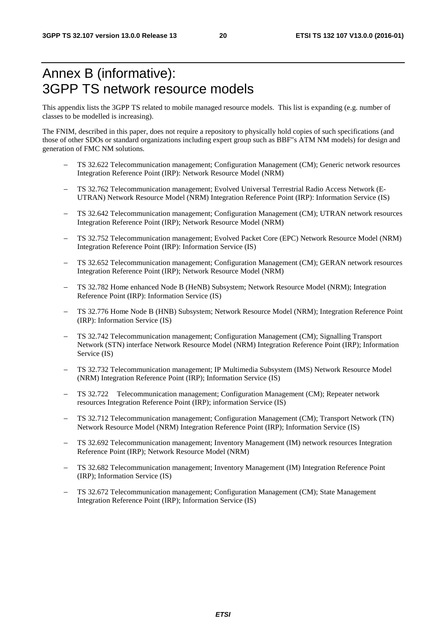### Annex B (informative): 3GPP TS network resource models

This appendix lists the 3GPP TS related to mobile managed resource models. This list is expanding (e.g. number of classes to be modelled is increasing).

The FNIM, described in this paper, does not require a repository to physically hold copies of such specifications (and those of other SDOs or standard organizations including expert group such as BBF"s ATM NM models) for design and generation of FMC NM solutions.

- − TS 32.622 Telecommunication management; Configuration Management (CM); Generic network resources Integration Reference Point (IRP): Network Resource Model (NRM)
- − TS 32.762 Telecommunication management; Evolved Universal Terrestrial Radio Access Network (E-UTRAN) Network Resource Model (NRM) Integration Reference Point (IRP): Information Service (IS)
- TS 32.642 Telecommunication management; Configuration Management (CM); UTRAN network resources Integration Reference Point (IRP); Network Resource Model (NRM)
- − TS 32.752 Telecommunication management; Evolved Packet Core (EPC) Network Resource Model (NRM) Integration Reference Point (IRP): Information Service (IS)
- − TS 32.652 Telecommunication management; Configuration Management (CM); GERAN network resources Integration Reference Point (IRP); Network Resource Model (NRM)
- TS 32.782 Home enhanced Node B (HeNB) Subsystem; Network Resource Model (NRM); Integration Reference Point (IRP): Information Service (IS)
- − TS 32.776 Home Node B (HNB) Subsystem; Network Resource Model (NRM); Integration Reference Point (IRP): Information Service (IS)
- − TS 32.742 Telecommunication management; Configuration Management (CM); Signalling Transport Network (STN) interface Network Resource Model (NRM) Integration Reference Point (IRP); Information Service (IS)
- − TS 32.732 Telecommunication management; IP Multimedia Subsystem (IMS) Network Resource Model (NRM) Integration Reference Point (IRP); Information Service (IS)
- − TS 32.722 Telecommunication management; Configuration Management (CM); Repeater network resources Integration Reference Point (IRP); information Service (IS)
- − TS 32.712 Telecommunication management; Configuration Management (CM); Transport Network (TN) Network Resource Model (NRM) Integration Reference Point (IRP); Information Service (IS)
- − TS 32.692 Telecommunication management; Inventory Management (IM) network resources Integration Reference Point (IRP); Network Resource Model (NRM)
- − TS 32.682 Telecommunication management; Inventory Management (IM) Integration Reference Point (IRP); Information Service (IS)
- − TS 32.672 Telecommunication management; Configuration Management (CM); State Management Integration Reference Point (IRP); Information Service (IS)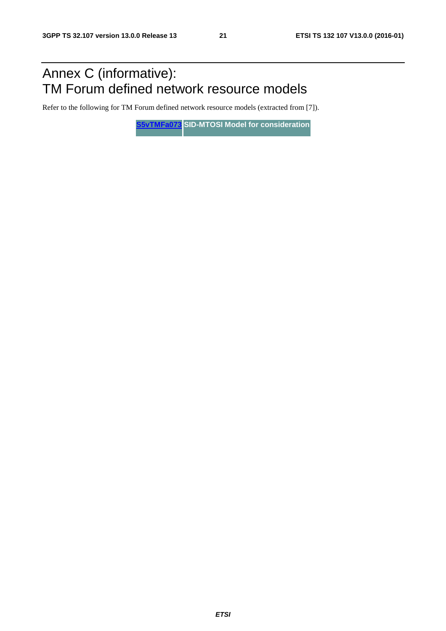# Annex C (informative): TM Forum defined network resource models

Refer to the following for TM Forum defined network resource models (extracted from [7]).

**[S5vTMFa073](ftp://ftp.3gpp.org/TSG_SA/WG5_TM/Ad-hoc_meetings/Virtual-TMF-Align/S5vTMFa073.zip) SID-MTOSI Model for consideration**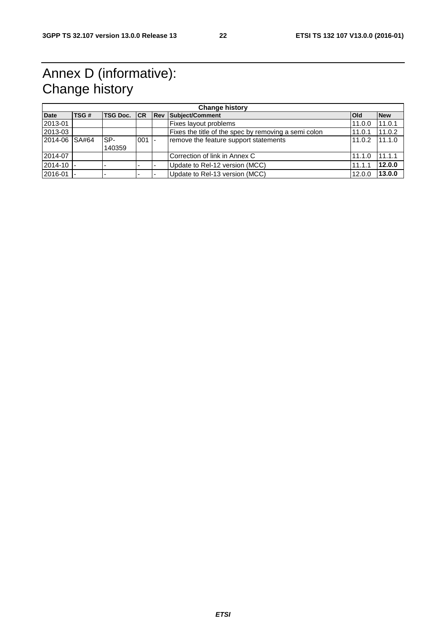# Annex D (informative): Change history

| <b>Change history</b> |       |                     |     |  |                                                      |            |            |  |  |
|-----------------------|-------|---------------------|-----|--|------------------------------------------------------|------------|------------|--|--|
| <b>Date</b>           | TSG#  | <b>TSG Doc.</b> ICR |     |  | <b>Rev Subject/Comment</b>                           | <b>Old</b> | <b>New</b> |  |  |
| 2013-01               |       |                     |     |  | Fixes layout problems                                | 11.0.0     | 11.0.1     |  |  |
| 2013-03               |       |                     |     |  | Fixes the title of the spec by removing a semi colon | 11.0.1     | 11.0.2     |  |  |
| 2014-06               | SA#64 | SP-                 | 001 |  | remove the feature support statements                | 11.0.2     | 11.1.0     |  |  |
|                       |       | 140359              |     |  |                                                      |            |            |  |  |
| 2014-07               |       |                     |     |  | l Correction of link in Annex C                      | 11.1.0     | 11.1.1     |  |  |
| 2014-10 -             |       |                     |     |  | Update to Rel-12 version (MCC)                       | 11.1.1     | 12.0.0     |  |  |
| 2016-01               |       |                     |     |  | Update to Rel-13 version (MCC)                       | 12.0.0     | 13.0.0     |  |  |